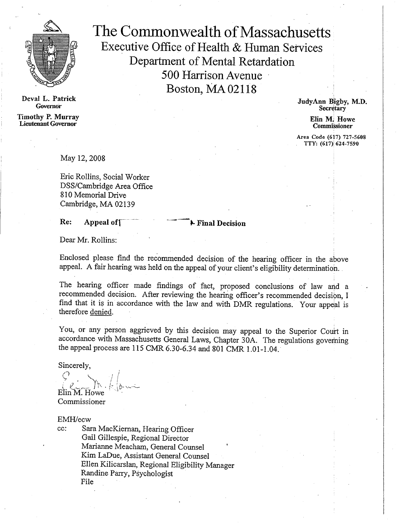

**Deval L. Patrick Governor Timothy P. Murray Din M. Howe Din M. Howe Lieutenant Governor CommiSsioner**

The Commonwealth of Massachusetts Executive Office of Health & Human Services Department of Mental Retardation 500 Harrison Avenue Boston, MA 02118

> **JudyAnn Bigby, M.D. Secretary**

Area Code (617) 727-5608 TTY: (617) 624-7590

May 12, 2008

Eric Rollins, Social Worker DSS/Cambridge Area Office 810 Memorial Drive Cambridge, MA 02139

**Re:** Appeal of  $\overline{\phantom{a}}$  **Final Decision** 

Dear Mr. Rollins:

Enclosed please find the recommended decision of the hearing officer in the above appeal. A fair hearing was held on the appeal of your client's eligibility determination.

The hearing officer made findings of fact, proposed conclusions of law and a recommended decision. After reviewing the hearing officer's recommended decision, I find that it is in accordance with the law and with DMR regulations. Your appeal is therefore denied.

You, or any person aggrieved by this decision may appeal to the Superior Court in accordance with Massachusetts General Laws, Chapter 30A. The regulations governing the appeal process are 115 CMR 6.30-6.34 and 801 CMR 1.01-1.04.

Sincerely,

e<br>Shi Elin M. Howe

Commissioner

EMH/ecw<br>cc: Sar

Sara MacKiernan, Hearing Officer Gail Gillespie, Regional Director Marianne Meacham, General Counsel Kim LaDue, Assistant General Counsel Ellen Kilicarslan, Regional Eligibility Manager Randine Parry, Psychologist File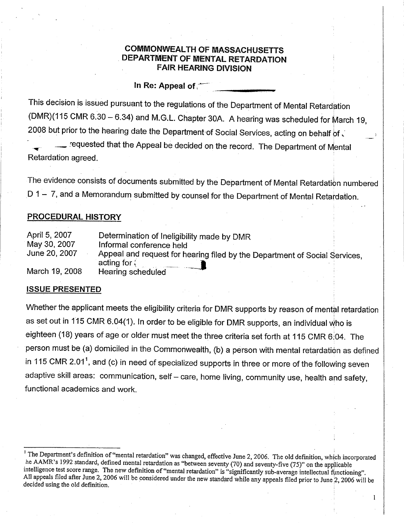### **COMMONWEALTH OF MASSACHUSETTS DEPARTMENT OF MENTAL RETARDATION FAIR HEARING DIVISION**

**In Re: Appeal of**

This decision is issued pursuant to the regulations of the Department of Mental Retardation (DMR)(115 CMR 6.30 — 6.34) and M.G.L. Chapter 30A. A hearing was scheduled for March 19, 2008 but prior to the hearing date the Department of Social Services, acting on behalf of .

requested that the Appeal be decided on the record. The Department of Mental Retardation agreed.

The evidence consists of documents submitted by the Department of Mental Retardation numbered D 1 — 7, and a Memorandum submitted by counsel for the Department of Mental Retardation.

### **PROCEDURAL HISTORY**

| April 5, 2007  | Determination of Ineligibility made by DMR                                 |
|----------------|----------------------------------------------------------------------------|
| May 30, 2007   | Informal conference held                                                   |
| June 20, 2007  | Appeal and request for hearing filed by the Department of Social Services, |
|                | acting for $\langle$                                                       |
| March 19, 2008 | Hearing scheduled                                                          |

### **ISSUE PRESENTED**

Whether the applicant meets the eligibility criteria for DMR supports by reason of mental retardation as set out in 115 CMR 6.04(1). In order to be eligible for DMR supports, an individual Who is eighteen (18) years of age or older must meet the three criteria set forth at 115 CMR 6:04. The person must be (a) domiciled in the Commonwealth, (b) a person with mental retardation as defined in 115 CMR 2.01<sup>1</sup>, and (c) in need of specialized supports in three or more of the following seven adaptive skill areas: communication, self — care, home living, community use, health and safety, functional academics and work.

1

The Department's definition of "mental retardation" was changed, effective June 2, 2006. The old definition, which incorporated he AAMR's 1992 standard, defined mental retardation as "between seventy (70) and seventy-five (75)" on the applicable intelligence test score range. The new definition of "mental retardation" is "significantly sub-average intellectual functioning". All appeals filed after June 2, 2006 will be considered under the new standard while any appeals filed prior to June 2, 2006 will be decided using the old definition.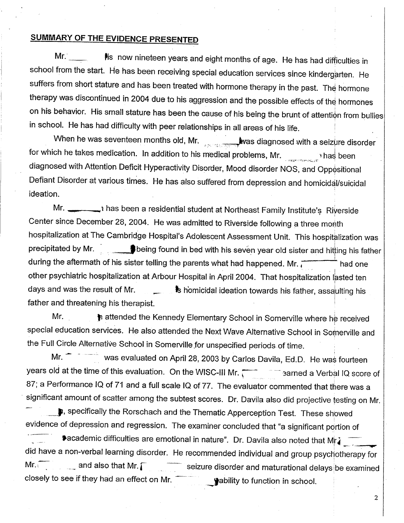# **SUMMARY OF THE EVIDENCE PRESENTED**

Mr. **Whenever Music Pilters** is now nineteen years and eight months of age. He has had difficulties in school from the start. He has been receiving special education services since kindergarten. He suffers from short stature and has been treated with hormone therapy in the past. The hormone therapy was discontinued in 2004 due to his aggression and the possible effects of the hormones on his behavior. His small stature has been the cause of his being the brunt of attention from bullies in school. He has had difficulty with peer relationships in all areas of his life.

When he was seventeen months old, Mr. was diagnosed with a seizure disorder for which he takes medication. In addition to his medical problems, Mr. diagnosed with Attention Deficit Hyperactivity Disorder, Mood disorder NOS, and Oppositional Defiant Disorder at various times. He has also suffered from depression and homicidal/suicidal ideation.

Mr. has been a residential student at Northeast Family Institute's Riverside Center since December 28, 2004. He was admitted to Riverside following a three month hospitalization at The Cambridge Hospital's Adolescent Assessment Unit. This hospitalization was precipitated by Mr. **B**being found in bed with his seven year old sister and hitting his father during the aftermath of his sister telling the parents what had happened. Mr.  $\overline{1}$  and one other psychiatric hospitalization at Arbour Hospital in April 2004. That hospitalization lasted ten days and was the result of Mr. 1st homicidal ideation towards his father, assaulting his father and threatening his therapist.

Mr. **in attended the Kennedy Elementary School in Somerville where he received** special education services. He also attended the Next Wave Alternative School in Somerville and the Full Circle Alternative School in Somerville for unspecified periods of time.

Mr. **Was evaluated on April 28, 2003 by Carlos Davila, Ed.D.** He was fourteen years old at the time of this evaluation. On the WISC-III Mr.  $\sqrt{ }$  arned a Verbal IQ score of 87; a Performance IQ of 71 and a full scale IQ of 77. The evaluator commented that there was a significant amount of scatter among the subtest scores. Dr. Davila also did projective testing on Mr.

**p**, specifically the Rorschach and the Thematic Apperception Test. These showed evidence of depression and regression. The examiner concluded that "a significant portion of **\*academic difficulties are emotional in nature". Dr. Davila also noted that Mr.** did have a non-verbal learning disorder. He recommended individual and group psychotherapy for Mr.  $\overline{a}$  and also that Mr.  $\overline{a}$  seizure disorder and maturational delays be examined closely to see if they had an effect on Mr.  $\Box$  wability to function in school.

2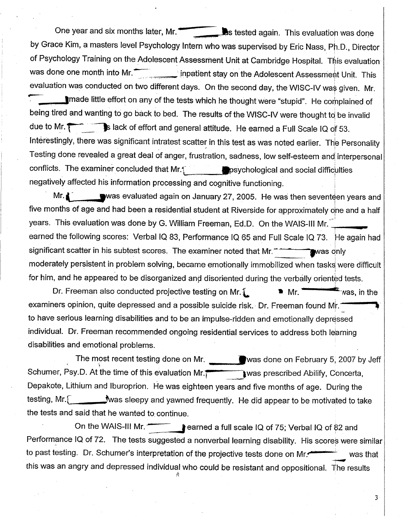One year and six months later, Mr. **its and six in the later of the Mr.**  $\bullet$  **its** *tested again*. This evaluation was done by Grace Kim, a masters level Psychology Intern who was supervised by Eric Nass, Ph.D., Director of Psychology Training on the Adolescent Assessment Unit at Cambridge Hospital. This evaluation was done one month into Mr. inpatient stay on the Adolescent Assessment Unit. This evaluation was conducted on two different days. On the second day, the WISC-IV was given. Mr. 'made little effort on any of the tests which he thought were "stupid". He complained of being tired and wanting to go back to bed. The results of the WISC-IV were thought to be invalid due to Mr. **Fig. 2. S** lack of effort and general attitude. He earned a Full Scale IQ of 53. Interestingly, there was significant intratest scatter in this test as was noted earlier. The Personality Testing done revealed a great deal of anger, frustration, sadness, low self-esteem and interpersonal conflicts. The examiner concluded that Mr.1<sup>11</sup>  $\blacksquare$  psychological and social difficulties negatively affected his information processing and cognitive functioning.

Mr.  $\blacksquare$  was evaluated again on January 27, 2005. He was then seventeen years and five months of age and had been a residential student at Riverside for approximately one and a half years. This evaluation was done by G. William Freeman, Ed.D. On the WAIS-III Mr. earned the following scores: Verbal IQ 83, Performance IQ 65 and Full Scale IQ 73. He again had significant scatter in his subtest scores. The examiner noted that Mr. was only significant scatter in his subtest scores. The examiner noted that Mr. moderately persistent in problem solving, became emotionally immobilized when tasks were difficult

for him, and he appeared to be disorganized and disoriented during the verbally oriented tests.<br>Dr. Freeman also conducted projective testing on Mr.  $\blacksquare$  Mr.  $\blacksquare$  Mr.  $\blacksquare$  was, in the Dr. Freeman also conducted projective testing on Mr.  $\blacksquare$  Mr.  $\blacksquare$  was, in the examiners opinion, quite depressed and a possible suicide risk. Dr. Freeman found Mr. to have serious learning disabilities and to be an impulse-ridden and emotionally depressed individual. Dr. Freeman recommended ongoing residential services to address both learning disabilities and emotional problems.

The most recent testing done on Mr. Was done on February 5, 2007 by Jeff Schumer, Psy.D. At the time of this evaluation Mr.  $\overline{1}$  was prescribed Abilify, Concerta, Depakote, Lithium and lburoprion. He was eighteen years and five months of age. During the testing, Mr. was sleepy and yawned frequently. He did appear to be motivated to take the tests and said that he wanted to. continue.

On the WAIS-III Mr. **Conserved a full scale IQ of 75; Verbal IQ of 82 and** Performance IQ of 72. The tests suggested a nonverbal learning disability. His scores were similar to past testing. Dr. Schumer's interpretation of the projective tests done on Mr. was that this was an angry and depressed individual who could be resistant and oppositional. The results

3 •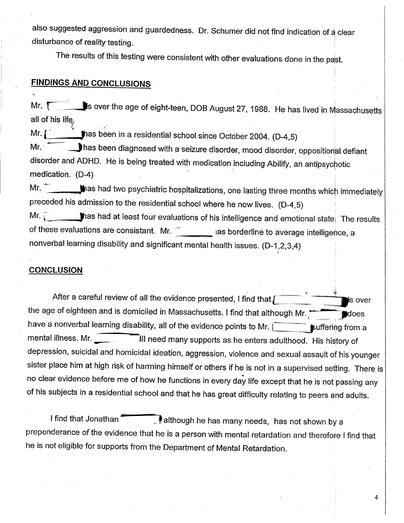also suggested aggression and guardedness. Dr. Schumer did not find indication of a clear disturbance of reality testing.

The results of this testing were consistent with other evaluations done in the past.

### **FINDINGS AND CONCLUSIONS**

Mr. **The Lubs over the age of eight-teen, DOB August 27, 1988. He has lived in Massachusetts** all of his life.

Mr.  $\left\{\right.$   $\right\}$   $\left\{\right.$   $\right\}$  has been in a residential school since October 2004. (D-4,5)

Mr. **III has been diagnosed with a seizure disorder, mood disorder, oppositional defiant** disorder and ADHD. He is being treated with medication including Abilify, an antipsychotic medication. (D-4)

Mr. **When the state of the sympals had two psychiatric hospitalizations, one lasting three months which immediately** preceded his admission to the residential school where he now lives. (D-4,5)

Mr.  $\sim$  thas had at least four evaluations of his intelligence and emotional state. The results of these evaluations are consistant. Mr.  $\bar{z}$  ias borderline to average intelligence, a nonverbal learning disability and significant mental health issues. (D-1,2,3,4)

#### **CONCLUSION**

After a careful review of all the evidence presented, I find that  $\sqrt{2\pi}$  over the age of eighteen and is domiciled in Massachusetts. I find that although Mr. have a nonverbal learning disability, all of the evidence points to Mr.  $\sqrt{ }$  suffering from a mental illness. Mr. **All need many supports as he enters adulthood.** His history of depression, suicidal and homicidal ideation, aggression, violence and sexual assault of his younger sister place him at high risk of harming himself or others if he is not in a supervised setting. There is no clear evidence before me of how he functions in every day life except that he is not passing any of his subjects in a residential school and that he has great difficulty relating to peers and adults.

I find that Jonathan **although he has many needs, has not shown by a** preponderance of the evidence that he is a person with mental retardation and therefore I find that he is not eligible for supports from the Department of Mental Retardation.

4